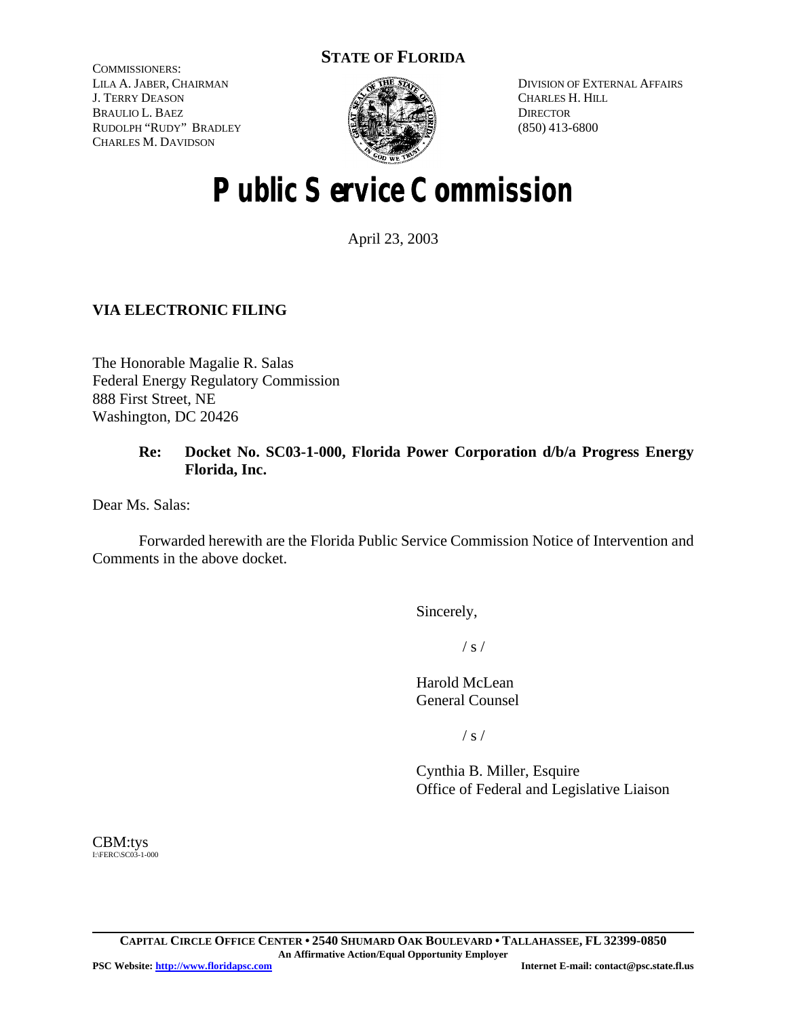# **STATE OF FLORIDA**

COMMISSIONERS: LILA A. JABER, CHAIRMAN J. TERRY DEASON BRAULIO L. BAEZ RUDOLPH "RUDY" BRADLEY CHARLES M. DAVIDSON



DIVISION OF EXTERNAL AFFAIRS CHARLES H. HILL **DIRECTOR** (850) 413-6800

# **Public Service Commission**

April 23, 2003

# **VIA ELECTRONIC FILING**

The Honorable Magalie R. Salas Federal Energy Regulatory Commission 888 First Street, NE Washington, DC 20426

# **Re: Docket No. SC03-1-000, Florida Power Corporation d/b/a Progress Energy Florida, Inc.**

Dear Ms. Salas:

Forwarded herewith are the Florida Public Service Commission Notice of Intervention and Comments in the above docket.

Sincerely,

 $/ s /$ 

Harold McLean General Counsel

 $/ s /$ 

Cynthia B. Miller, Esquire Office of Federal and Legislative Liaison

CBM:tys I:\FERC\SC03-1-000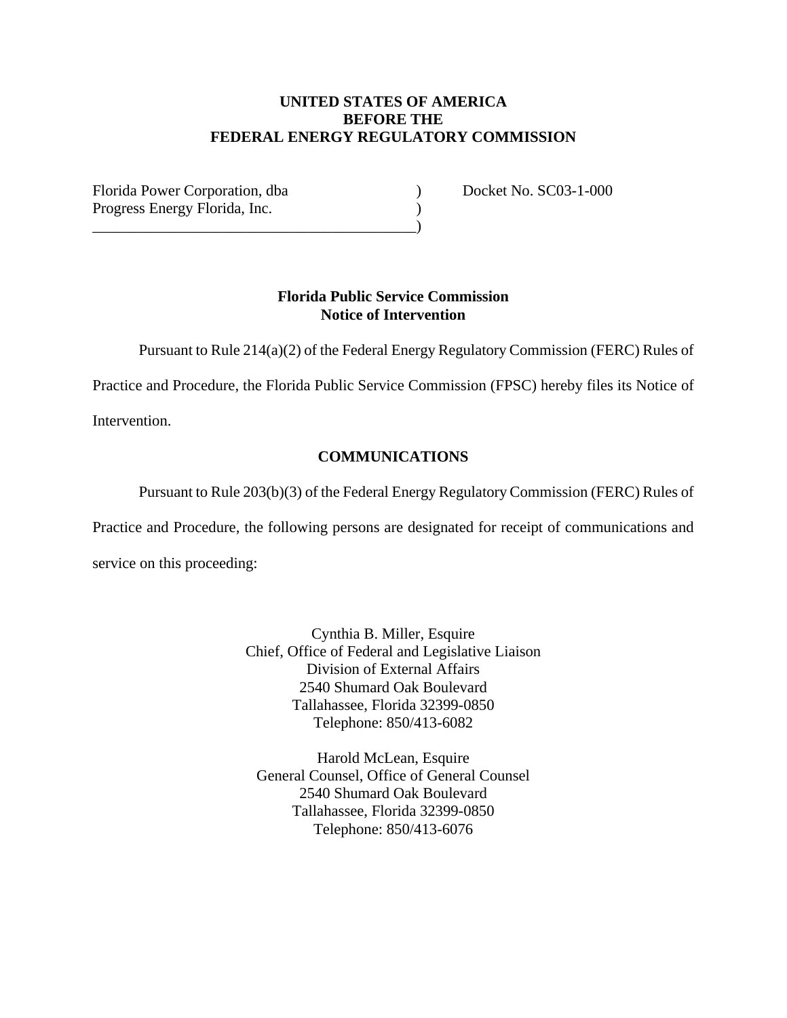# **UNITED STATES OF AMERICA BEFORE THE FEDERAL ENERGY REGULATORY COMMISSION**

Florida Power Corporation, dba (a) Docket No. SC03-1-000 Progress Energy Florida, Inc. (1) \_\_\_\_\_\_\_\_\_\_\_\_\_\_\_\_\_\_\_\_\_\_\_\_\_\_\_\_\_\_\_\_\_\_\_\_\_\_\_\_\_\_)

# **Florida Public Service Commission Notice of Intervention**

Pursuant to Rule 214(a)(2) of the Federal Energy Regulatory Commission (FERC) Rules of

Practice and Procedure, the Florida Public Service Commission (FPSC) hereby files its Notice of

Intervention.

# **COMMUNICATIONS**

Pursuant to Rule 203(b)(3) of the Federal Energy Regulatory Commission (FERC) Rules of

Practice and Procedure, the following persons are designated for receipt of communications and service on this proceeding:

> Cynthia B. Miller, Esquire Chief, Office of Federal and Legislative Liaison Division of External Affairs 2540 Shumard Oak Boulevard Tallahassee, Florida 32399-0850 Telephone: 850/413-6082

Harold McLean, Esquire General Counsel, Office of General Counsel 2540 Shumard Oak Boulevard Tallahassee, Florida 32399-0850 Telephone: 850/413-6076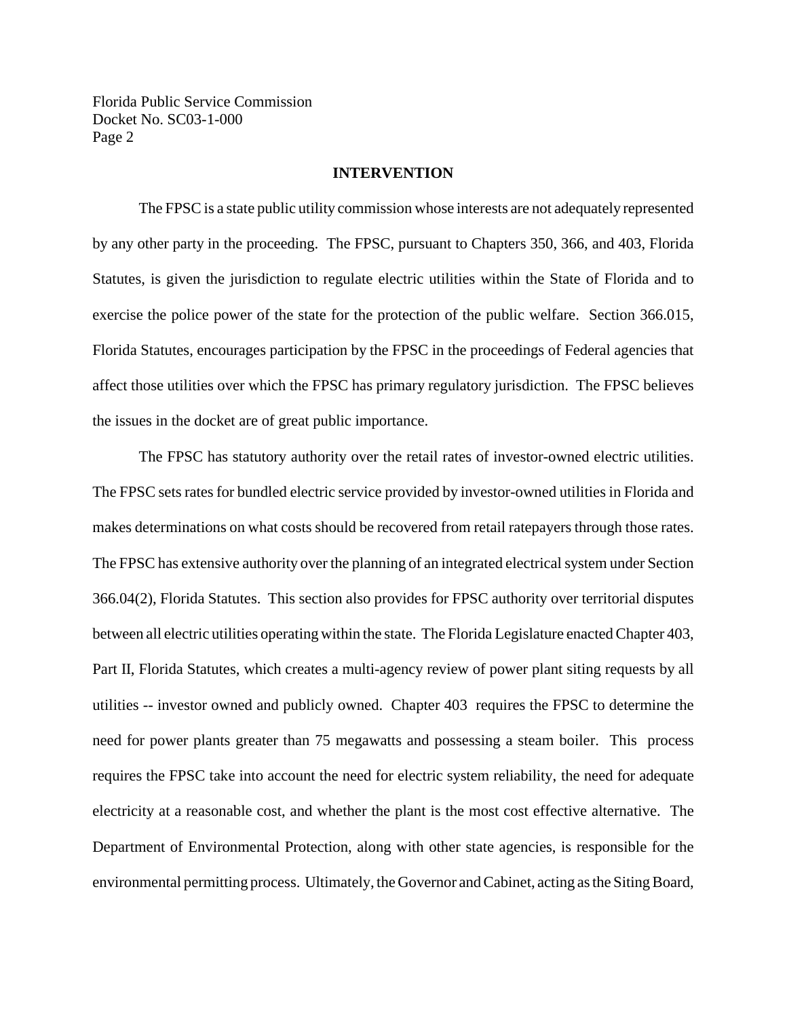#### **INTERVENTION**

The FPSC is a state public utility commission whose interests are not adequately represented by any other party in the proceeding. The FPSC, pursuant to Chapters 350, 366, and 403, Florida Statutes, is given the jurisdiction to regulate electric utilities within the State of Florida and to exercise the police power of the state for the protection of the public welfare. Section 366.015, Florida Statutes, encourages participation by the FPSC in the proceedings of Federal agencies that affect those utilities over which the FPSC has primary regulatory jurisdiction. The FPSC believes the issues in the docket are of great public importance.

The FPSC has statutory authority over the retail rates of investor-owned electric utilities. The FPSC sets rates for bundled electric service provided by investor-owned utilities in Florida and makes determinations on what costs should be recovered from retail ratepayers through those rates. The FPSC has extensive authority over the planning of an integrated electrical system under Section 366.04(2), Florida Statutes. This section also provides for FPSC authority over territorial disputes between all electric utilities operating within the state. The Florida Legislature enacted Chapter 403, Part II, Florida Statutes, which creates a multi-agency review of power plant siting requests by all utilities -- investor owned and publicly owned. Chapter 403 requires the FPSC to determine the need for power plants greater than 75 megawatts and possessing a steam boiler. This process requires the FPSC take into account the need for electric system reliability, the need for adequate electricity at a reasonable cost, and whether the plant is the most cost effective alternative. The Department of Environmental Protection, along with other state agencies, is responsible for the environmental permitting process. Ultimately, the Governor and Cabinet, acting as the Siting Board,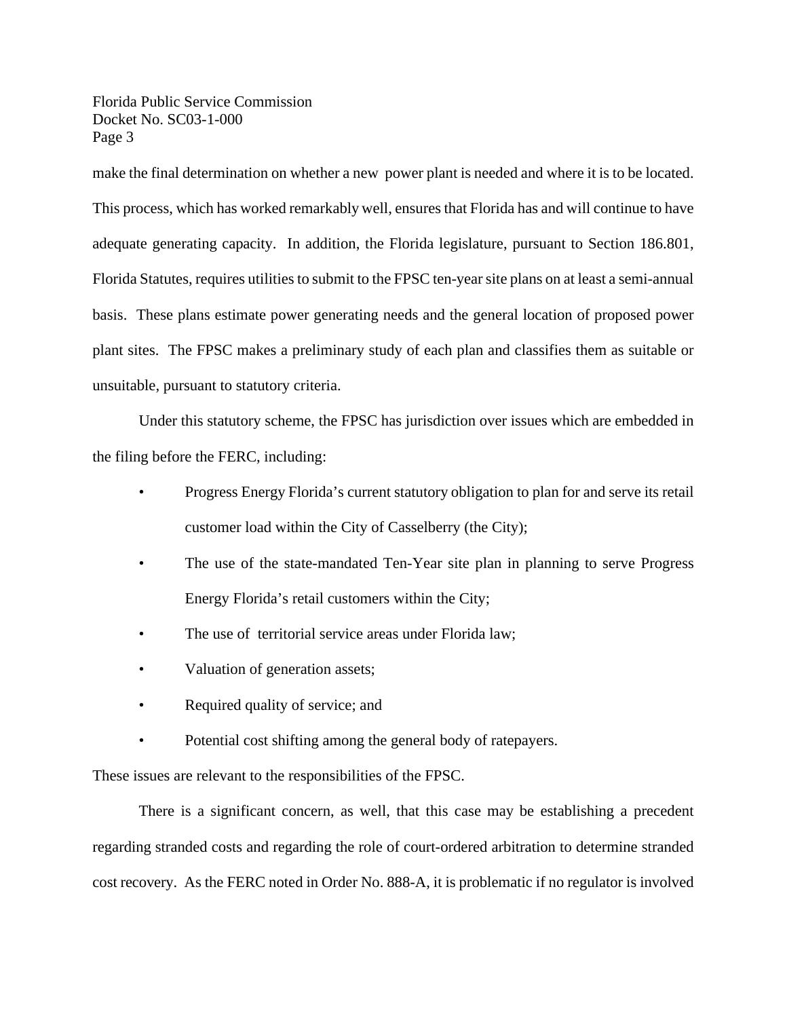make the final determination on whether a new power plant is needed and where it is to be located. This process, which has worked remarkably well, ensures that Florida has and will continue to have adequate generating capacity. In addition, the Florida legislature, pursuant to Section 186.801, Florida Statutes, requires utilities to submit to the FPSC ten-year site plans on at least a semi-annual basis. These plans estimate power generating needs and the general location of proposed power plant sites. The FPSC makes a preliminary study of each plan and classifies them as suitable or unsuitable, pursuant to statutory criteria.

Under this statutory scheme, the FPSC has jurisdiction over issues which are embedded in the filing before the FERC, including:

- Progress Energy Florida's current statutory obligation to plan for and serve its retail customer load within the City of Casselberry (the City);
- The use of the state-mandated Ten-Year site plan in planning to serve Progress Energy Florida's retail customers within the City;
- The use of territorial service areas under Florida law;
- Valuation of generation assets;
- Required quality of service; and
- Potential cost shifting among the general body of ratepayers.

These issues are relevant to the responsibilities of the FPSC.

There is a significant concern, as well, that this case may be establishing a precedent regarding stranded costs and regarding the role of court-ordered arbitration to determine stranded cost recovery. As the FERC noted in Order No. 888-A, it is problematic if no regulator is involved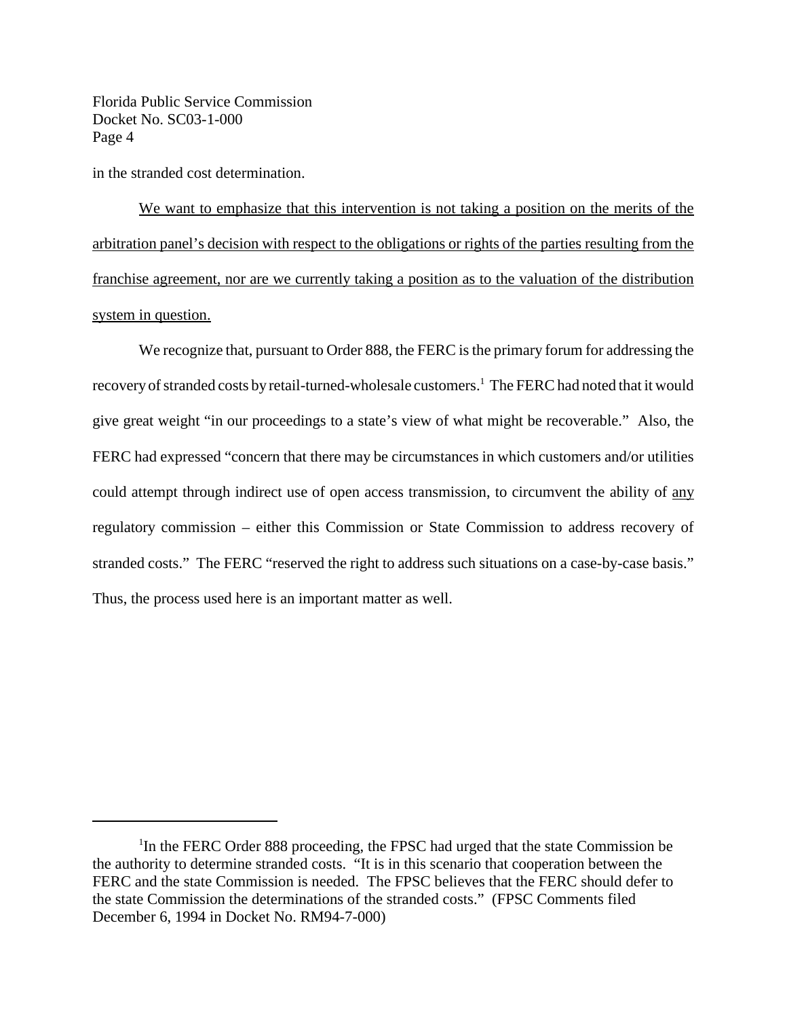in the stranded cost determination.

We want to emphasize that this intervention is not taking a position on the merits of the arbitration panel's decision with respect to the obligations or rights of the parties resulting from the franchise agreement, nor are we currently taking a position as to the valuation of the distribution system in question.

We recognize that, pursuant to Order 888, the FERC is the primary forum for addressing the recovery of stranded costs by retail-turned-wholesale customers.<sup>1</sup> The FERC had noted that it would give great weight "in our proceedings to a state's view of what might be recoverable." Also, the FERC had expressed "concern that there may be circumstances in which customers and/or utilities could attempt through indirect use of open access transmission, to circumvent the ability of any regulatory commission – either this Commission or State Commission to address recovery of stranded costs." The FERC "reserved the right to address such situations on a case-by-case basis." Thus, the process used here is an important matter as well.

<sup>&</sup>lt;sup>1</sup>In the FERC Order 888 proceeding, the FPSC had urged that the state Commission be the authority to determine stranded costs. "It is in this scenario that cooperation between the FERC and the state Commission is needed. The FPSC believes that the FERC should defer to the state Commission the determinations of the stranded costs." (FPSC Comments filed December 6, 1994 in Docket No. RM94-7-000)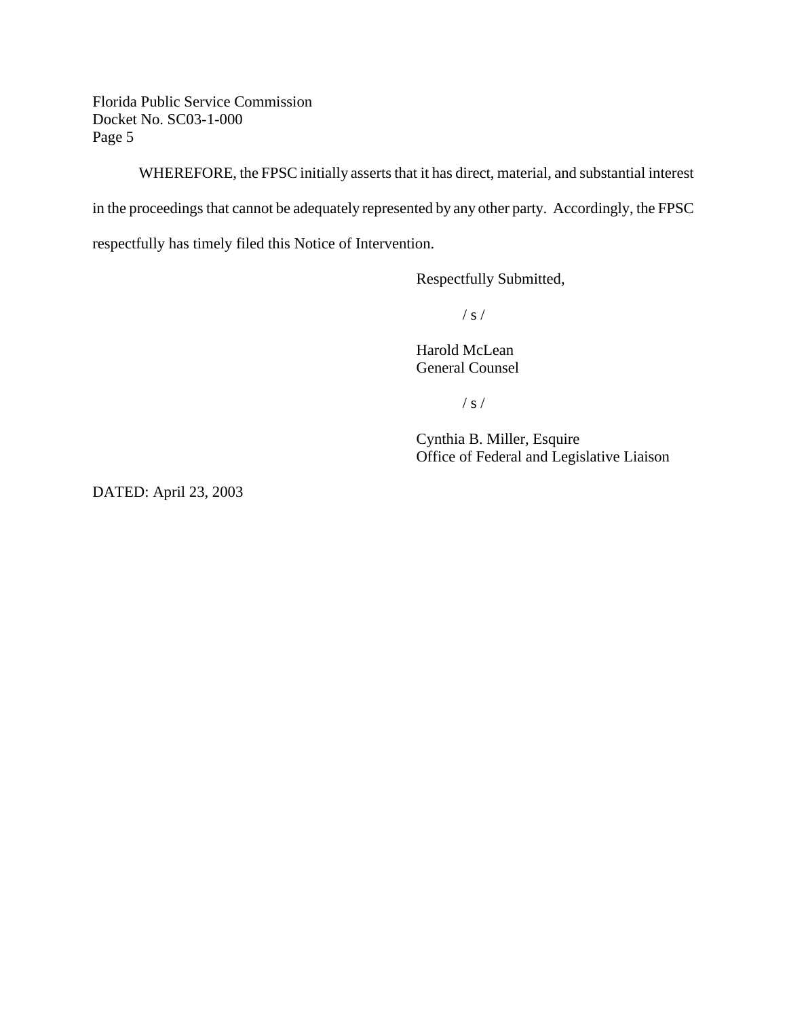WHEREFORE, the FPSC initially asserts that it has direct, material, and substantial interest

in the proceedings that cannot be adequately represented by any other party. Accordingly, the FPSC

respectfully has timely filed this Notice of Intervention.

Respectfully Submitted,

 $/ s /$ 

Harold McLean General Counsel

/ s /

Cynthia B. Miller, Esquire Office of Federal and Legislative Liaison

DATED: April 23, 2003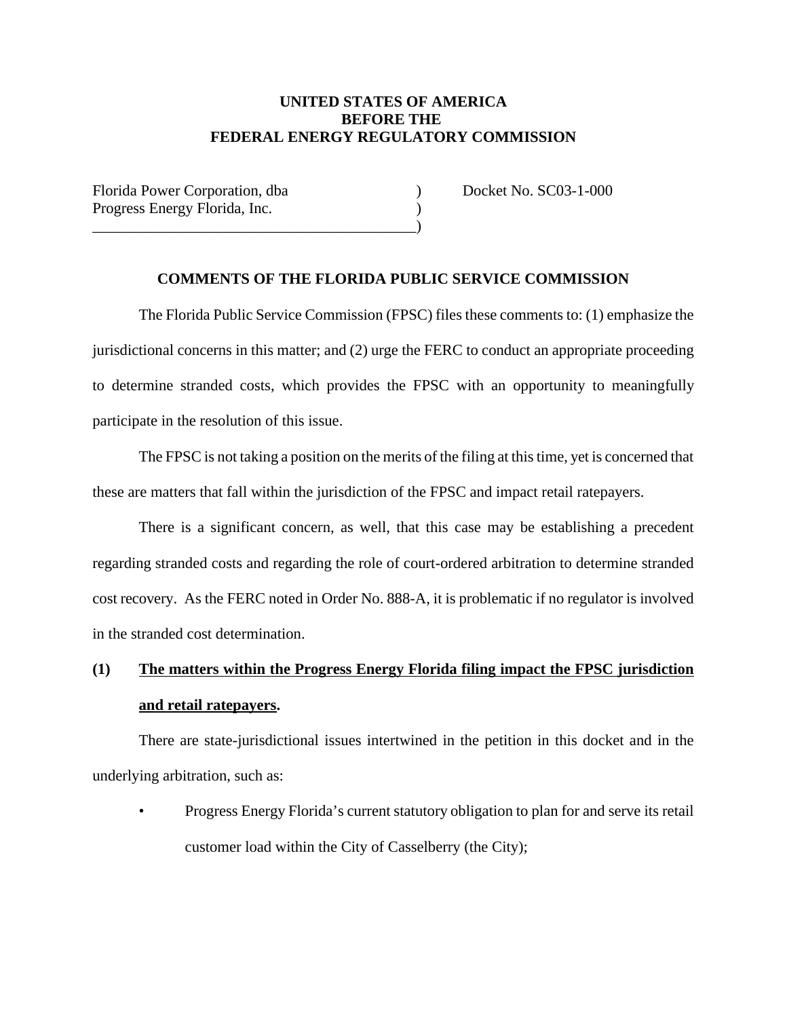# **UNITED STATES OF AMERICA BEFORE THE FEDERAL ENERGY REGULATORY COMMISSION**

| Florida Power Corporation, dba |  |
|--------------------------------|--|
| Progress Energy Florida, Inc.  |  |
|                                |  |

Docket No. SC03-1-000

#### **COMMENTS OF THE FLORIDA PUBLIC SERVICE COMMISSION**

The Florida Public Service Commission (FPSC) files these comments to: (1) emphasize the jurisdictional concerns in this matter; and (2) urge the FERC to conduct an appropriate proceeding to determine stranded costs, which provides the FPSC with an opportunity to meaningfully participate in the resolution of this issue.

The FPSC is not taking a position on the merits of the filing at thistime, yet is concerned that these are matters that fall within the jurisdiction of the FPSC and impact retail ratepayers.

There is a significant concern, as well, that this case may be establishing a precedent regarding stranded costs and regarding the role of court-ordered arbitration to determine stranded cost recovery. As the FERC noted in Order No. 888-A, it is problematic if no regulator is involved in the stranded cost determination.

# **(1) The matters within the Progress Energy Florida filing impact the FPSC jurisdiction and retail ratepayers.**

There are state-jurisdictional issues intertwined in the petition in this docket and in the underlying arbitration, such as:

• Progress Energy Florida's current statutory obligation to plan for and serve its retail customer load within the City of Casselberry (the City);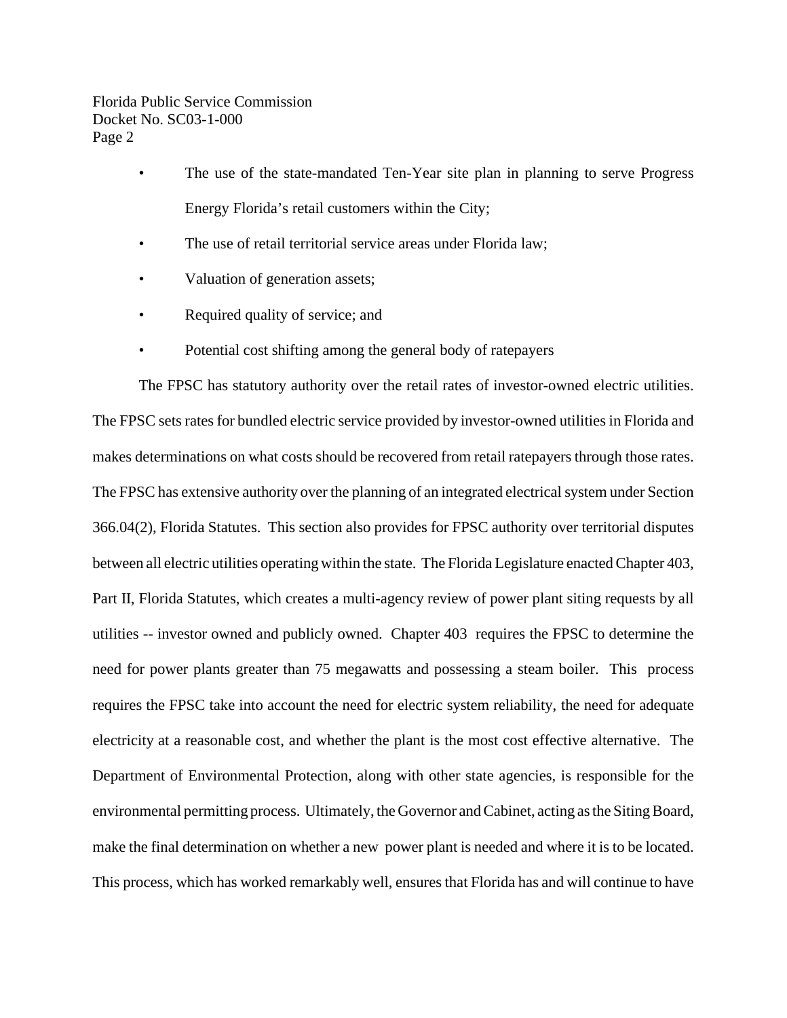- The use of the state-mandated Ten-Year site plan in planning to serve Progress Energy Florida's retail customers within the City;
- The use of retail territorial service areas under Florida law:
- Valuation of generation assets;
- Required quality of service; and
- Potential cost shifting among the general body of ratepayers

The FPSC has statutory authority over the retail rates of investor-owned electric utilities. The FPSC sets rates for bundled electric service provided by investor-owned utilities in Florida and makes determinations on what costs should be recovered from retail ratepayers through those rates. The FPSC has extensive authority over the planning of an integrated electrical system under Section 366.04(2), Florida Statutes. This section also provides for FPSC authority over territorial disputes between all electric utilities operating within the state. The Florida Legislature enacted Chapter 403, Part II, Florida Statutes, which creates a multi-agency review of power plant siting requests by all utilities -- investor owned and publicly owned. Chapter 403 requires the FPSC to determine the need for power plants greater than 75 megawatts and possessing a steam boiler. This process requires the FPSC take into account the need for electric system reliability, the need for adequate electricity at a reasonable cost, and whether the plant is the most cost effective alternative. The Department of Environmental Protection, along with other state agencies, is responsible for the environmental permitting process. Ultimately, the Governor and Cabinet, acting as the Siting Board, make the final determination on whether a new power plant is needed and where it is to be located. This process, which has worked remarkably well, ensures that Florida has and will continue to have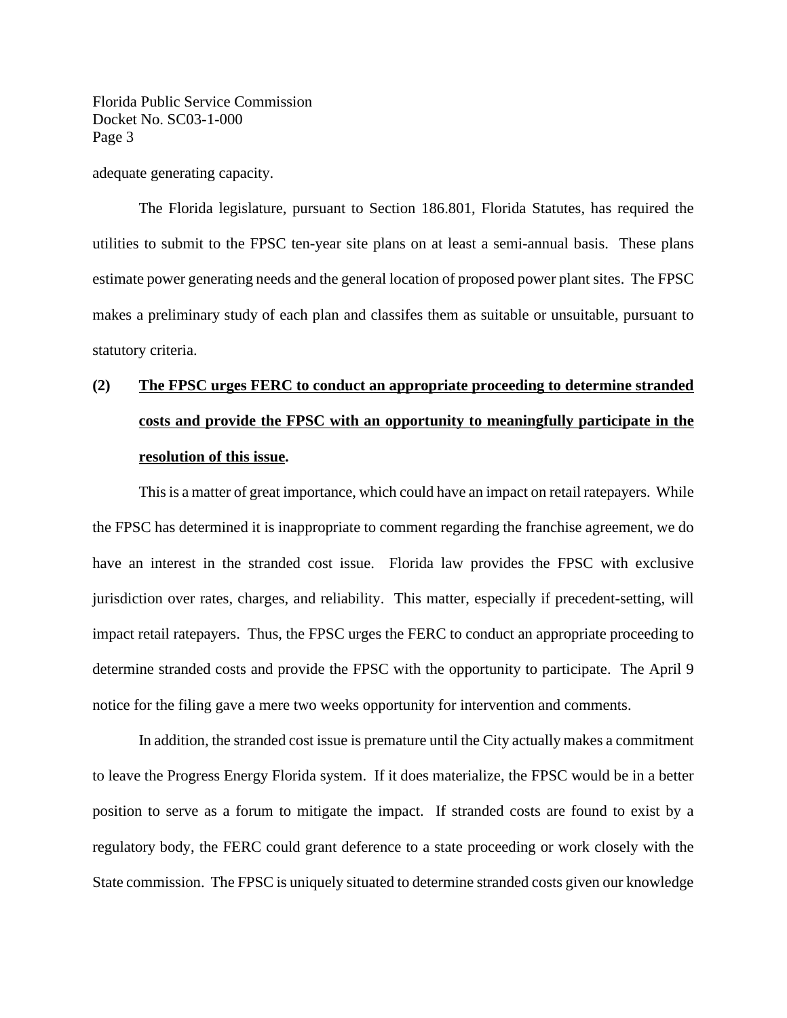adequate generating capacity.

The Florida legislature, pursuant to Section 186.801, Florida Statutes, has required the utilities to submit to the FPSC ten-year site plans on at least a semi-annual basis. These plans estimate power generating needs and the general location of proposed power plant sites. The FPSC makes a preliminary study of each plan and classifes them as suitable or unsuitable, pursuant to statutory criteria.

# **(2) The FPSC urges FERC to conduct an appropriate proceeding to determine stranded costs and provide the FPSC with an opportunity to meaningfully participate in the resolution of this issue.**

This is a matter of great importance, which could have an impact on retail ratepayers. While the FPSC has determined it is inappropriate to comment regarding the franchise agreement, we do have an interest in the stranded cost issue. Florida law provides the FPSC with exclusive jurisdiction over rates, charges, and reliability. This matter, especially if precedent-setting, will impact retail ratepayers. Thus, the FPSC urges the FERC to conduct an appropriate proceeding to determine stranded costs and provide the FPSC with the opportunity to participate. The April 9 notice for the filing gave a mere two weeks opportunity for intervention and comments.

In addition, the stranded cost issue is premature until the City actually makes a commitment to leave the Progress Energy Florida system. If it does materialize, the FPSC would be in a better position to serve as a forum to mitigate the impact. If stranded costs are found to exist by a regulatory body, the FERC could grant deference to a state proceeding or work closely with the State commission. The FPSC is uniquely situated to determine stranded costs given our knowledge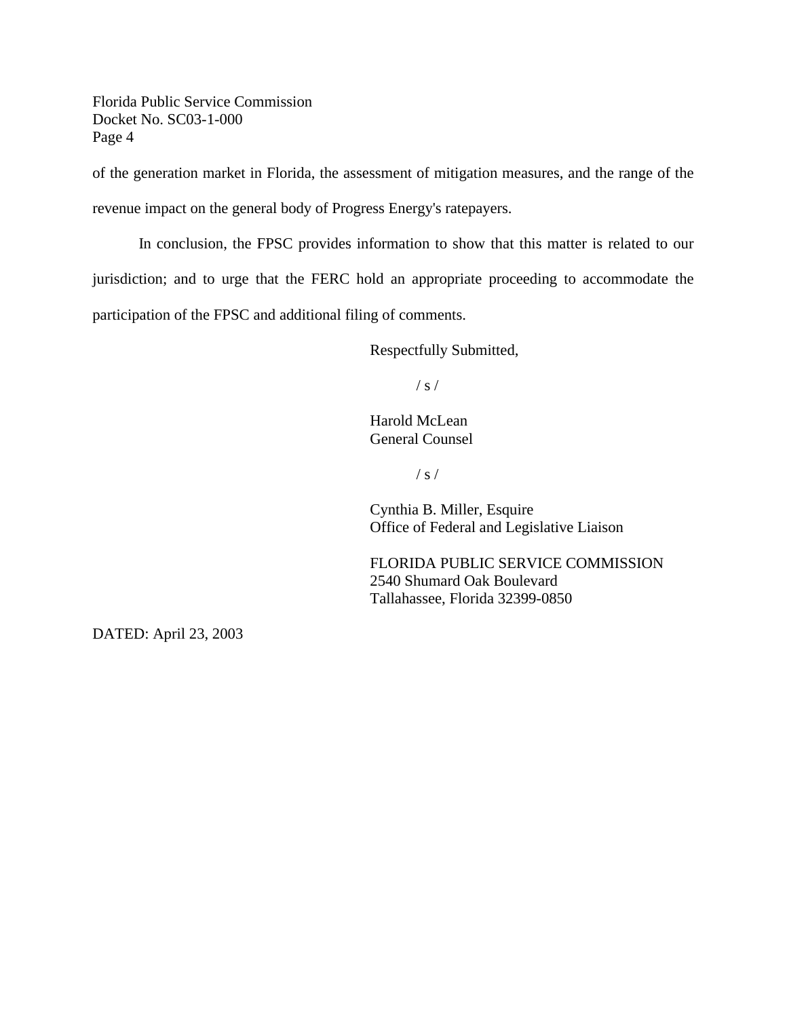of the generation market in Florida, the assessment of mitigation measures, and the range of the revenue impact on the general body of Progress Energy's ratepayers.

In conclusion, the FPSC provides information to show that this matter is related to our jurisdiction; and to urge that the FERC hold an appropriate proceeding to accommodate the participation of the FPSC and additional filing of comments.

Respectfully Submitted,

 $/ s /$ 

Harold McLean General Counsel

 $/ s /$ 

Cynthia B. Miller, Esquire Office of Federal and Legislative Liaison

FLORIDA PUBLIC SERVICE COMMISSION 2540 Shumard Oak Boulevard Tallahassee, Florida 32399-0850

DATED: April 23, 2003